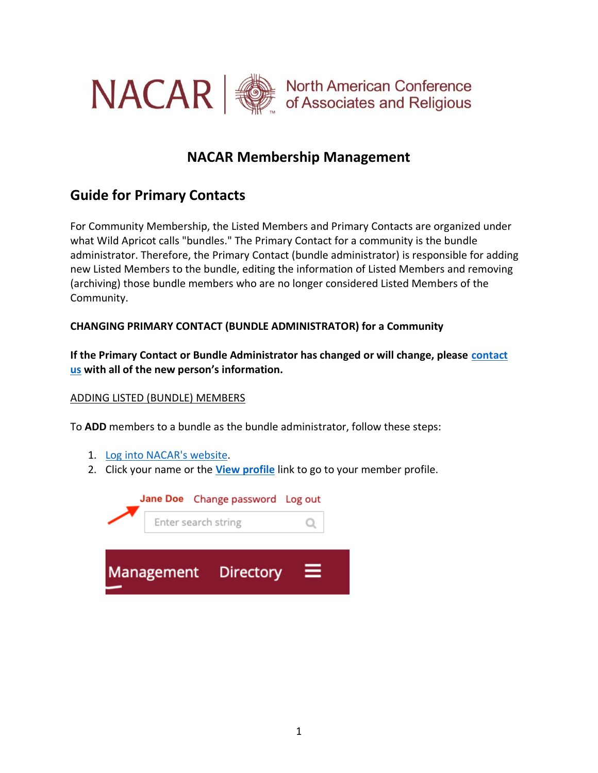

# **NACAR Membership Management**

## **Guide for Primary Contacts**

For Community Membership, the Listed Members and Primary Contacts are organized under what Wild Apricot calls "bundles." The Primary Contact for a community is the bundle administrator. Therefore, the Primary Contact (bundle administrator) is responsible for adding new Listed Members to the bundle, editing the information of Listed Members and removing (archiving) those bundle members who are no longer considered Listed Members of the Community.

### **CHANGING PRIMARY CONTACT (BUNDLE ADMINISTRATOR) for a Community**

**If the Primary Contact or Bundle Administrator has changed or will change, please [contact](https://nacar.org/contactus/view/form.html)  [us](https://nacar.org/contactus/view/form.html) with all of the new person's information.**

### ADDING LISTED (BUNDLE) MEMBERS

To **ADD** members to a bundle as the bundle administrator, follow these steps:

- 1. [Log into NACAR's website.](https://nacarinc.wildapricot.org/Sys/Profile)
- 2. Click your name or the **[View profile](https://nacarinc.wildapricot.org/Sys/Profile)** link to go to your member profile.

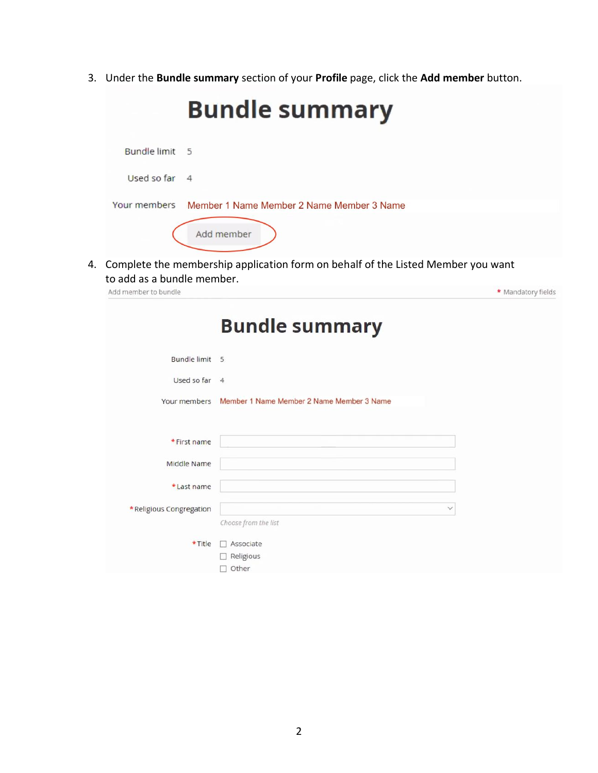3. Under the **Bundle summary** section of your **Profile** page, click the **Add member** button.

|                                  | <b>Bundle summary</b>                                                            |
|----------------------------------|----------------------------------------------------------------------------------|
| <b>Bundle limit</b><br>- 5       |                                                                                  |
| Used so far<br>$\overline{4}$    |                                                                                  |
| Your members                     | Member 1 Name Member 2 Name Member 3 Name                                        |
|                                  | Add member                                                                       |
| 4.<br>to add as a bundle member. | Complete the membership application form on behalf of the Listed Member you want |
| Add member to bundle             | * Mandatory fields                                                               |
| Bundle limit 5<br>Used so far 4  |                                                                                  |
|                                  | Your members Member 1 Name Member 2 Name Member 3 Name                           |
| * First name                     |                                                                                  |
| Middle Name                      |                                                                                  |
| *Last name                       |                                                                                  |
| *Religious Congregation          | $\checkmark$<br>Choose from the list                                             |
| * Title                          | Associate                                                                        |
|                                  | $\Box$ Religious<br>$\Box$ Other                                                 |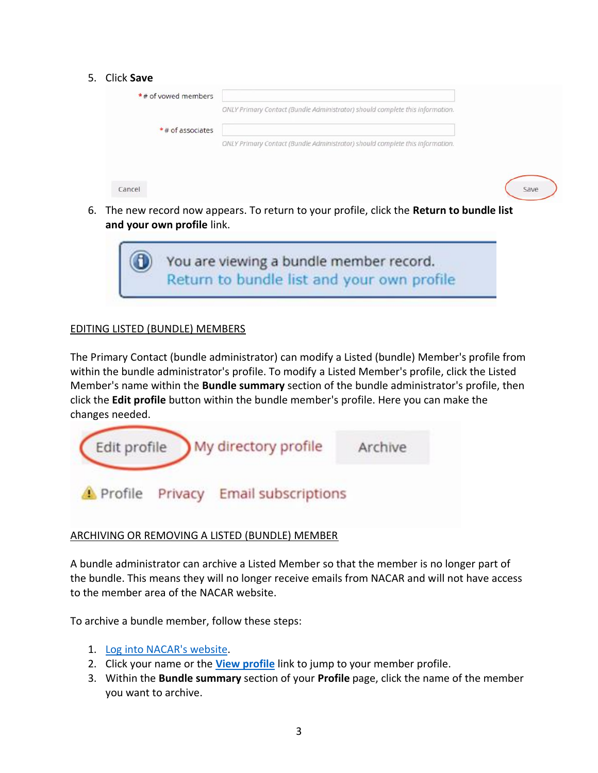#### 5. Click **Save**

| * # of yowed members |                                                                               |      |
|----------------------|-------------------------------------------------------------------------------|------|
|                      | ONLY Primary Contact (Bundle Administrator) should complete this information. |      |
| *# of associates     |                                                                               |      |
|                      | ONLY Primary Contact (Bundle Administrator) should complete this information. |      |
|                      |                                                                               |      |
|                      |                                                                               |      |
| Cancel               |                                                                               | Save |

6. The new record now appears. To return to your profile, click the **Return to bundle list and your own profile** link.



#### EDITING LISTED (BUNDLE) MEMBERS

The Primary Contact (bundle administrator) can modify a Listed (bundle) Member's profile from within the bundle administrator's profile. To modify a Listed Member's profile, click the Listed Member's name within the **Bundle summary** section of the bundle administrator's profile, then click the **Edit profile** button within the bundle member's profile. Here you can make the changes needed.



### ARCHIVING OR REMOVING A LISTED (BUNDLE) MEMBER

A bundle administrator can archive a Listed Member so that the member is no longer part of the bundle. This means they will no longer receive emails from NACAR and will not have access to the member area of the NACAR website.

To archive a bundle member, follow these steps:

- 1. [Log into NACAR's website.](https://nacarinc.wildapricot.org/Sys/Profile)
- 2. Click your name or the **[View profile](https://nacarinc.wildapricot.org/Sys/Profile)** link to jump to your member profile.
- 3. Within the **Bundle summary** section of your **Profile** page, click the name of the member you want to archive.